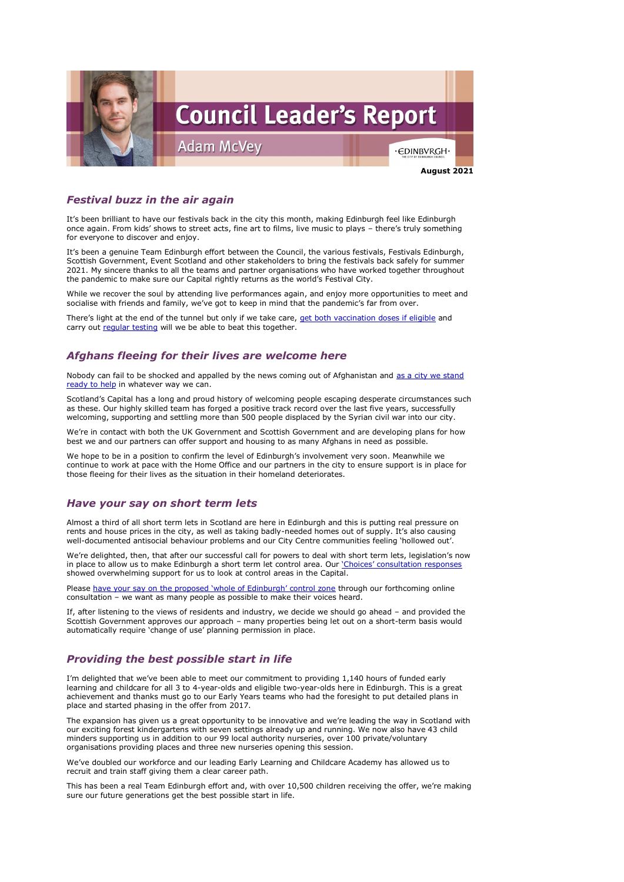

## *Festival buzz in the air again*

It's been brilliant to have our festivals back in the city this month, making Edinburgh feel like Edinburgh once again. From kids' shows to street acts, fine art to films, live music to plays – there's truly something for everyone to discover and enjoy.

It's been a genuine Team Edinburgh effort between the Council, the various festivals, Festivals Edinburgh, Scottish Government, Event Scotland and other stakeholders to bring the festivals back safely for summer 2021. My sincere thanks to all the teams and partner organisations who have worked together throughout the pandemic to make sure our Capital rightly returns as the world's Festival City.

There's light at the end of the tunnel but only if we take care, [get both vaccination doses if eligible](https://www.nhsinform.scot/covid-19-vaccine) and carry out [regular testing](https://www.edinburgh.gov.uk/communitytesting) will we be able to beat this together.

While we recover the soul by attending live performances again, and enjoy more opportunities to meet and socialise with friends and family, we've got to keep in mind that the pandemic's far from over.

## *Afghans fleeing for their lives are welcome here*

Nobody can fail to be shocked and appalled by the news coming out of Afghanistan and as a city we stand [ready to help](https://www.edinburgh.gov.uk/news/article/13279/edinburgh-to-offer-shelter-to-people-from-afghanistan) in whatever way we can.

Scotland's Capital has a long and proud history of welcoming people escaping desperate circumstances such as these. Our highly skilled team has forged a positive track record over the last five years, successfully welcoming, supporting and settling more than 500 people displaced by the Syrian civil war into our city.

Please [have your say on the proposed 'whole of Edinburgh' control zone](https://www.edinburgh.gov.uk/news/article/13264/should-edinburgh-be-a-short-term-let-control-area-) through our forthcoming online consultation – we want as many people as possible to make their voices heard.

We're in contact with both the UK Government and Scottish Government and are developing plans for how best we and our partners can offer support and housing to as many Afghans in need as possible.

We hope to be in a position to confirm the level of Edinburgh's involvement very soon. Meanwhile we continue to work at pace with the Home Office and our partners in the city to ensure support is in place for those fleeing for their lives as the situation in their homeland deteriorates.

### *Have your say on short term lets*

Almost a third of all short term lets in Scotland are here in Edinburgh and this is putting real pressure on rents and house prices in the city, as well as taking badly-needed homes out of supply. It's also causing well-documented antisocial behaviour problems and our City Centre communities feeling 'hollowed out'.

We're delighted, then, that after our successful call for powers to deal with short term lets, legislation's now in place to allow us to make Edinburgh a short term let control area. Our *['Choices' consultation responses](https://www.edinburgh.gov.uk/local-development-plan-guidance-1/city-plan-2030/2?documentId=12552&categoryId=20305)* showed overwhelming support for us to look at control areas in the Capital.

If, after listening to the views of residents and industry, we decide we should go ahead – and provided the Scottish Government approves our approach – many properties being let out on a short-term basis would automatically require 'change of use' planning permission in place.

# *Providing the best possible start in life*

I'm delighted that we've been able to meet our commitment to providing 1,140 hours of funded early learning and childcare for all 3 to 4-year-olds and eligible two-year-olds here in Edinburgh. This is a great achievement and thanks must go to our Early Years teams who had the foresight to put detailed plans in place and started phasing in the offer from 2017.

The expansion has given us a great opportunity to be innovative and we're leading the way in Scotland with our exciting forest kindergartens with seven settings already up and running. We now also have 43 child minders supporting us in addition to our 99 local authority nurseries, over 100 private/voluntary organisations providing places and three new nurseries opening this session.

We've doubled our workforce and our leading Early Learning and Childcare Academy has allowed us to recruit and train staff giving them a clear career path.

This has been a real Team Edinburgh effort and, with over 10,500 children receiving the offer, we're making sure our future generations get the best possible start in life.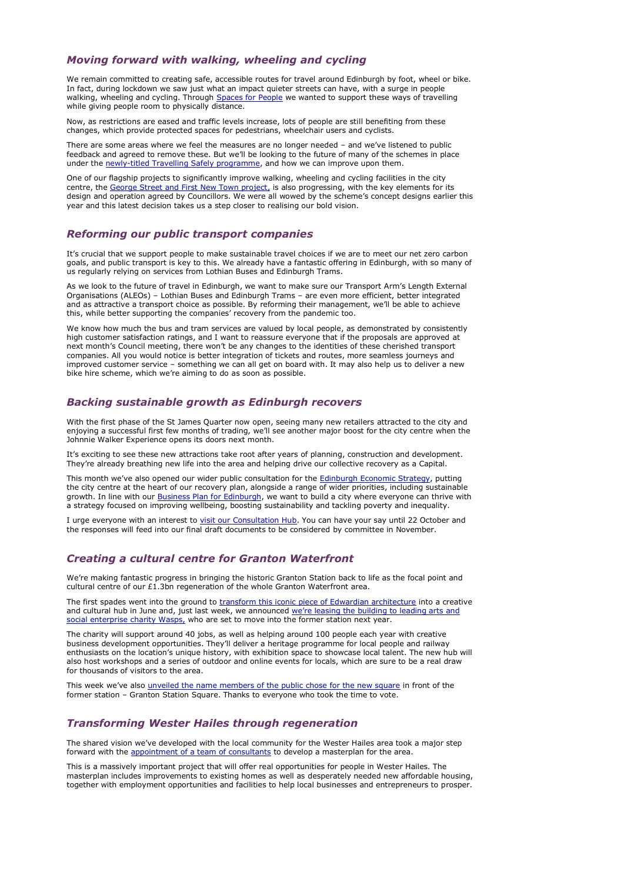#### *Moving forward with walking, wheeling and cycling*

We remain committed to creating safe, accessible routes for travel around Edinburgh by foot, wheel or bike. In fact, during lockdown we saw just what an impact quieter streets can have, with a surge in people walking, wheeling and cycling. Through [Spaces for People](https://www.edinburgh.gov.uk/spaces-people-1) we wanted to support these ways of travelling while giving people room to physically distance.

There are some areas where we feel the measures are no longer needed – and we've listened to public feedback and agreed to remove these. But we'll be looking to the future of many of the schemes in place under the [newly-titled Travelling Safely programme,](https://www.edinburgh.gov.uk/news/article/13272/next-steps-for-travelling-safely-programme) and how we can improve upon them.

Now, as restrictions are eased and traffic levels increase, lots of people are still benefiting from these changes, which provide protected spaces for pedestrians, wheelchair users and cyclists.

One of our flagship projects to significantly improve walking, wheeling and cycling facilities in the city centre, the [George Street and First New Town project,](https://www.edinburgh.gov.uk/georgestreet/) is also progressing, with the key elements for its design and operation agreed by Councillors. We were all wowed by the scheme's concept designs earlier this year and this latest decision takes us a step closer to realising our bold vision.

We know how much the bus and tram services are valued by local people, as demonstrated by consistently high customer satisfaction ratings, and I want to reassure everyone that if the proposals are approved at next month's Council meeting, there won't be any changes to the identities of these cherished transport companies. All you would notice is better integration of tickets and routes, more seamless journeys and improved customer service – something we can all get on board with. It may also help us to deliver a new bike hire scheme, which we're aiming to do as soon as possible.

#### *Reforming our public transport companies*

It's crucial that we support people to make sustainable travel choices if we are to meet our net zero carbon goals, and public transport is key to this. We already have a fantastic offering in Edinburgh, with so many of us regularly relying on services from Lothian Buses and Edinburgh Trams.

This month we've also opened our wider public consultation for the **Edinburgh Economic Strategy**, putting the city centre at the heart of our recovery plan, alongside a range of wider priorities, including sustainable growth. In line with our [Business Plan for Edinburgh,](https://www.edinburgh.gov.uk/future-council) we want to build a city where everyone can thrive with a strategy focused on improving wellbeing, boosting sustainability and tackling poverty and inequality.

As we look to the future of travel in Edinburgh, we want to make sure our Transport Arm's Length External Organisations (ALEOs) – Lothian Buses and Edinburgh Trams – are even more efficient, better integrated and as attractive a transport choice as possible. By reforming their management, we'll be able to achieve this, while better supporting the companies' recovery from the pandemic too.

I urge everyone with an interest to [visit our Consultation Hub.](https://consultationhub.edinburgh.gov.uk/ce/edinburgh-economy-strategy/) You can have your say until 22 October and the responses will feed into our final draft documents to be considered by committee in November.

We're making fantastic progress in bringing the historic Granton Station back to life as the focal point and cultural centre of our  $£1.3$ bn regeneration of the whole Granton Waterfront area.

The first spades went into the ground to [transform this iconic piece of Edwardian architecture](https://www.edinburgh.gov.uk/news/article/13240/work-begins-to-turn-granton-station-into-thriving-creative-and-community-hub) into a creative and cultural hub in June and, just last week, we announced [we're leasing the building to leading arts and](https://www.edinburgh.gov.uk/news/article/13271/leading-arts-charity-to-bring-granton-station-back-to-life)  [social enterprise](https://www.edinburgh.gov.uk/news/article/13271/leading-arts-charity-to-bring-granton-station-back-to-life) charity Wasps, who are set to move into the former station next year.

This week we've also [unveiled the name members of the public chose for the new square](https://www.edinburgh.gov.uk/news/article/13277/latest-news-and-the-name-is-granton-station-square) in front of the former station – Granton Station Square. Thanks to everyone who took the time to vote.

The shared vision we've developed with the local community for the Wester Hailes area took a major step forward with the [appointment of a team of consultants](https://www.edinburgh.gov.uk/news/article/13275/wester-hailes-community-vision-to-be-transformed-into-regeneration-masterplan) to develop a masterplan for the area.

### *Backing sustainable growth as Edinburgh recovers*

With the first phase of the St James Quarter now open, seeing many new retailers attracted to the city and enjoying a successful first few months of trading, we'll see another major boost for the city centre when the Johnnie Walker Experience opens its doors next month.

It's exciting to see these new attractions take root after years of planning, construction and development. They're already breathing new life into the area and helping drive our collective recovery as a Capital.

### *Creating a cultural centre for Granton Waterfront*

The charity will support around 40 jobs, as well as helping around 100 people each year with creative business development opportunities. They'll deliver a heritage programme for local people and railway enthusiasts on the location's unique history, with exhibition space to showcase local talent. The new hub will also host workshops and a series of outdoor and online events for locals, which are sure to be a real draw

for thousands of visitors to the area.

### *Transforming Wester Hailes through regeneration*

This is a massively important project that will offer real opportunities for people in Wester Hailes. The masterplan includes improvements to existing homes as well as desperately needed new affordable housing, together with employment opportunities and facilities to help local businesses and entrepreneurs to prosper.